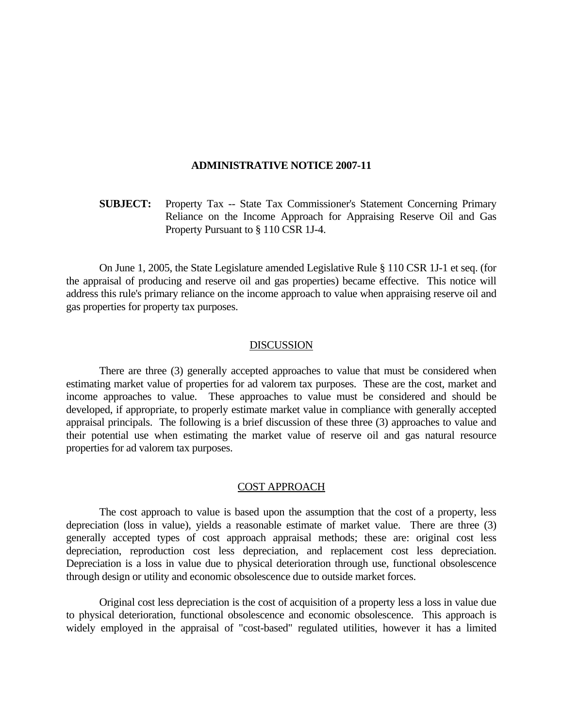#### **ADMINISTRATIVE NOTICE 2007-11**

**SUBJECT:** Property Tax -- State Tax Commissioner's Statement Concerning Primary Reliance on the Income Approach for Appraising Reserve Oil and Gas Property Pursuant to § 110 CSR 1J-4.

 On June 1, 2005, the State Legislature amended Legislative Rule § 110 CSR 1J-1 et seq. (for the appraisal of producing and reserve oil and gas properties) became effective. This notice will address this rule's primary reliance on the income approach to value when appraising reserve oil and gas properties for property tax purposes.

## DISCUSSION

 There are three (3) generally accepted approaches to value that must be considered when estimating market value of properties for ad valorem tax purposes. These are the cost, market and income approaches to value. These approaches to value must be considered and should be developed, if appropriate, to properly estimate market value in compliance with generally accepted appraisal principals. The following is a brief discussion of these three (3) approaches to value and their potential use when estimating the market value of reserve oil and gas natural resource properties for ad valorem tax purposes.

## COST APPROACH

 The cost approach to value is based upon the assumption that the cost of a property, less depreciation (loss in value), yields a reasonable estimate of market value. There are three (3) generally accepted types of cost approach appraisal methods; these are: original cost less depreciation, reproduction cost less depreciation, and replacement cost less depreciation. Depreciation is a loss in value due to physical deterioration through use, functional obsolescence through design or utility and economic obsolescence due to outside market forces.

 Original cost less depreciation is the cost of acquisition of a property less a loss in value due to physical deterioration, functional obsolescence and economic obsolescence. This approach is widely employed in the appraisal of "cost-based" regulated utilities, however it has a limited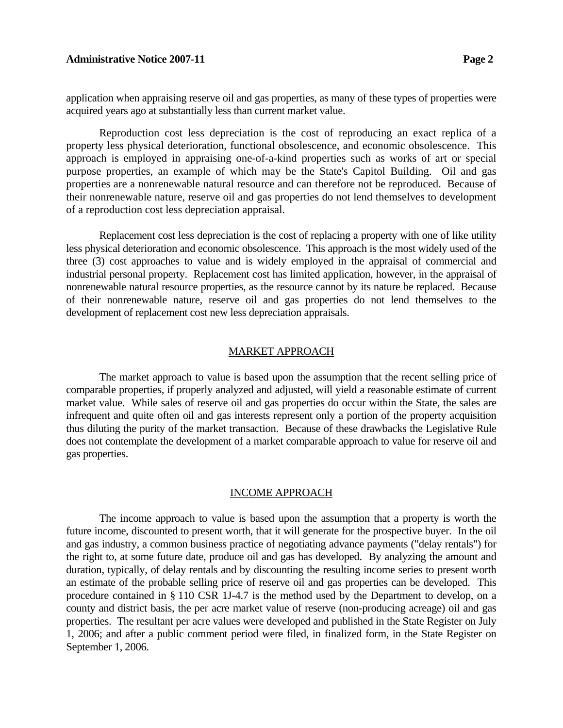## **Administrative Notice 2007-11 Page 2 Page 2**

application when appraising reserve oil and gas properties, as many of these types of properties were acquired years ago at substantially less than current market value.

Reproduction cost less depreciation is the cost of reproducing an exact replica of a property less physical deterioration, functional obsolescence, and economic obsolescence. This approach is employed in appraising one-of-a-kind properties such as works of art or special purpose properties, an example of which may be the State's Capitol Building. Oil and gas properties are a nonrenewable natural resource and can therefore not be reproduced. Because of their nonrenewable nature, reserve oil and gas properties do not lend themselves to development of a reproduction cost less depreciation appraisal.

 Replacement cost less depreciation is the cost of replacing a property with one of like utility less physical deterioration and economic obsolescence. This approach is the most widely used of the three (3) cost approaches to value and is widely employed in the appraisal of commercial and industrial personal property. Replacement cost has limited application, however, in the appraisal of nonrenewable natural resource properties, as the resource cannot by its nature be replaced. Because of their nonrenewable nature, reserve oil and gas properties do not lend themselves to the development of replacement cost new less depreciation appraisals.

#### MARKET APPROACH

 The market approach to value is based upon the assumption that the recent selling price of comparable properties, if properly analyzed and adjusted, will yield a reasonable estimate of current market value. While sales of reserve oil and gas properties do occur within the State, the sales are infrequent and quite often oil and gas interests represent only a portion of the property acquisition thus diluting the purity of the market transaction. Because of these drawbacks the Legislative Rule does not contemplate the development of a market comparable approach to value for reserve oil and gas properties.

# INCOME APPROACH

 The income approach to value is based upon the assumption that a property is worth the future income, discounted to present worth, that it will generate for the prospective buyer. In the oil and gas industry, a common business practice of negotiating advance payments ("delay rentals") for the right to, at some future date, produce oil and gas has developed. By analyzing the amount and duration, typically, of delay rentals and by discounting the resulting income series to present worth an estimate of the probable selling price of reserve oil and gas properties can be developed. This procedure contained in § 110 CSR 1J-4.7 is the method used by the Department to develop, on a county and district basis, the per acre market value of reserve (non-producing acreage) oil and gas properties. The resultant per acre values were developed and published in the State Register on July 1, 2006; and after a public comment period were filed, in finalized form, in the State Register on September 1, 2006.